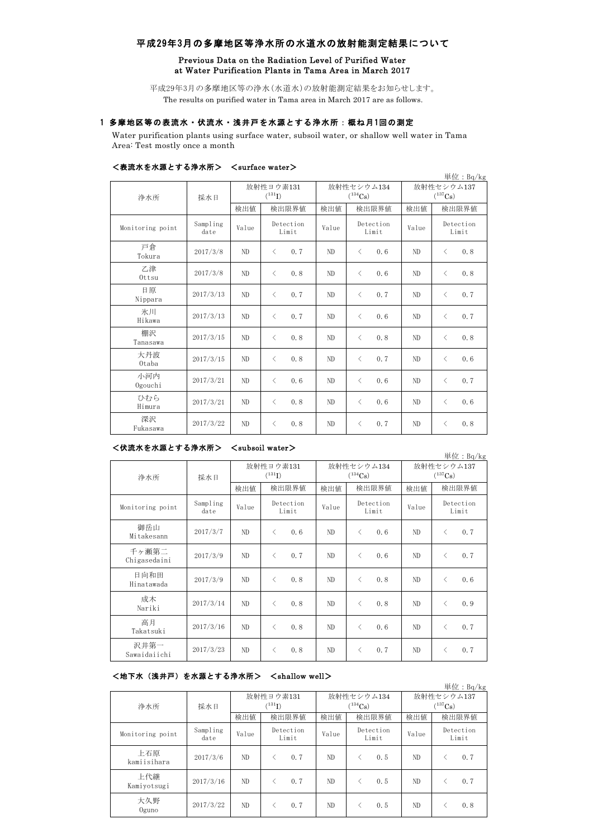# 平成29年3月の多摩地区等浄水所の水道水の放射能測定結果について

# Previous Data on the Radiation Level of Purified Water at Water Purification Plants in Tama Area in March 2017

平成29年3月の多摩地区等の浄水(水道水)の放射能測定結果をお知らせします。 The results on purified water in Tama area in March 2017 are as follows.

### 1 多摩地区等の表流水・伏流水・浅井戸を水源とする浄水所:概ね月1回の測定

Water purification plants using surface water, subsoil water, or shallow well water in Tama Area: Test mostly once a month

|                  |                  |                          |                    |                |                                                 |                                     | 単位: Bq/kg          |  |
|------------------|------------------|--------------------------|--------------------|----------------|-------------------------------------------------|-------------------------------------|--------------------|--|
| 浄水所              | 採水日              | 放射性ヨウ素131<br>$(^{131}I)$ |                    |                | 放射性セシウム134<br>$(^{134}\mathrm{Cs})$             | 放射性セシウム137<br>$(^{137}\mathrm{Cs})$ |                    |  |
|                  |                  | 検出値                      | 検出限界値              | 検出値            | 検出限界値                                           | 検出値                                 | 検出限界値              |  |
| Monitoring point | Sampling<br>date | Value                    | Detection<br>Limit | Value          | Detection<br>Limit                              | Value                               | Detection<br>Limit |  |
| 戸倉<br>Tokura     | 2017/3/8         | ND                       | 0.7<br>$\lt$       | ND             | $\langle$<br>0.6                                | ND                                  | 0.8<br>$\langle$   |  |
| 乙津<br>$0$ ttsu   | 2017/3/8         | ND                       | 0.8<br>$\langle$   | N <sub>D</sub> | $\langle$<br>0.6                                | ND                                  | 0.8<br>$\langle$   |  |
| 日原<br>Nippara    | 2017/3/13        | ND                       | 0.7<br>$\langle$   | ND             | $\langle$<br>0.7                                | ND                                  | 0.7<br>$\langle$   |  |
| 氷川<br>Hikawa     | 2017/3/13        | ND                       | 0.7<br>$\langle$   | ND             | $\overline{\left\langle \right\rangle }$<br>0.6 | ND                                  | 0.7<br>$\langle$   |  |
| 棚沢<br>Tanasawa   | 2017/3/15        | ND                       | 0.8<br>$\langle$   | ND             | $\overline{\left\langle \right\rangle }$<br>0.8 | ND                                  | 0.8<br>$\langle$   |  |
| 大丹波<br>Otaba     | 2017/3/15        | ND                       | 0.8<br>$\langle$   | ND             | 0.7<br>$\langle$                                | ND                                  | 0.6<br>$\langle$   |  |
| 小河内<br>Ogouchi   | 2017/3/21        | ND                       | 0.6<br>$\langle$   | ND             | $\langle$<br>0.6                                | ND                                  | 0.7<br>$\langle$   |  |
| ひむら<br>Himura    | 2017/3/21        | ND                       | 0.8<br>$\lt$       | ND             | $\overline{\left\langle \right\rangle }$<br>0.6 | ND                                  | 0, 6<br>$\langle$  |  |
| 深沢<br>Fukasawa   | 2017/3/22        | ND                       | 0.8<br>$\langle$   | ND             | 0.7<br>$\langle$                                | ND                                  | 0.8<br>$\langle$   |  |

## <表流水を水源とする浄水所> <surface water>

#### <伏流水を水源とする浄水所> <subsoil water>

単位:Bq/kg 検出値 検出限界値 検出限界値 検出値 Monitoring point Sampling<br>date mpiing Value Detection Value Detection Value 御岳山<br>Mitakesann Mitakesann 2017/3/7 ND <sup>&</sup>lt; 0.6 ND <sup>&</sup>lt; 0.6 ND <sup>&</sup>lt; 0.7 千ヶ瀬第二 Chigasedaini 2017/3/9 ND <sup>&</sup>lt; 0.7 ND <sup>&</sup>lt; 0.6 ND <sup>&</sup>lt; 0.7 日向和田<br>Hinatawada Hinatawada 2017/3/9 ND <sup>&</sup>lt; 0.8 ND <sup>&</sup>lt; 0.8 ND <sup>&</sup>lt; 0.6 成木  $\frac{1}{20}$  Nariki  $2017/3/14$  ND  $\leq 0.8$  ND  $\leq 0.8$  ND  $\leq 0.9$ 高月  $T_{\rm 2017}$  akatsuki  $2017/3/16$  ND  $\langle 0.8 \mid N\!\!\!\!\!/ \rangle$  ND  $\langle 0.6 \mid N\!\!\!\!\!/ \rangle$   $\langle 0.7 \mid N\!\!\!\!\!/ \rangle$ 沢井第一 Sawaidaiichi 2017/3/23 ND <sup>&</sup>lt; 0.8 ND <sup>&</sup>lt; 0.7 ND <sup>&</sup>lt; 0.7 浄水所 採水日 Detection Limit Detection Limit 放射性ヨウ素131  $(131)$ 放射性セシウム134  $(134)$ Cs) 放射性セシウム137  $(137)$ Cs) 検出限界値 検出限界値 検出限界値 Detection Limit

#### <地下水(浅井戸)を水源とする浄水所> <shallow well>

|                    |                  |                          |                    |       |                            |                            | 単位: $Bq/kg$        |  |
|--------------------|------------------|--------------------------|--------------------|-------|----------------------------|----------------------------|--------------------|--|
| 浄水所                | 採水日              | 放射性ヨウ素131<br>$(^{131}I)$ |                    |       | 放射性セシウム134<br>$(^{134}Cs)$ | 放射性セシウム137<br>$(^{137}Cs)$ |                    |  |
|                    |                  | 検出値                      | 検出限界値              | 検出値   | 検出限界値                      | 検出値                        | 検出限界値              |  |
| Monitoring point   | Sampling<br>date | Value                    | Detection<br>Limit | Value | Detection<br>Limit         | Value                      | Detection<br>Limit |  |
| 上石原<br>kamiisihara | 2017/3/6         | ND                       | 0.7<br>✓           | ND    | 0.5                        | ND                         | 0.7                |  |
| 上代継<br>Kamiyotsugi | 2017/3/16        | ND                       | 0.7                | ND    | 0.5                        | ND                         | 0.7                |  |
| 大久野<br>$0$ guno    | 2017/3/22        | ND                       | 0.7                | ND    | 0.5                        | ND                         | 0.8                |  |